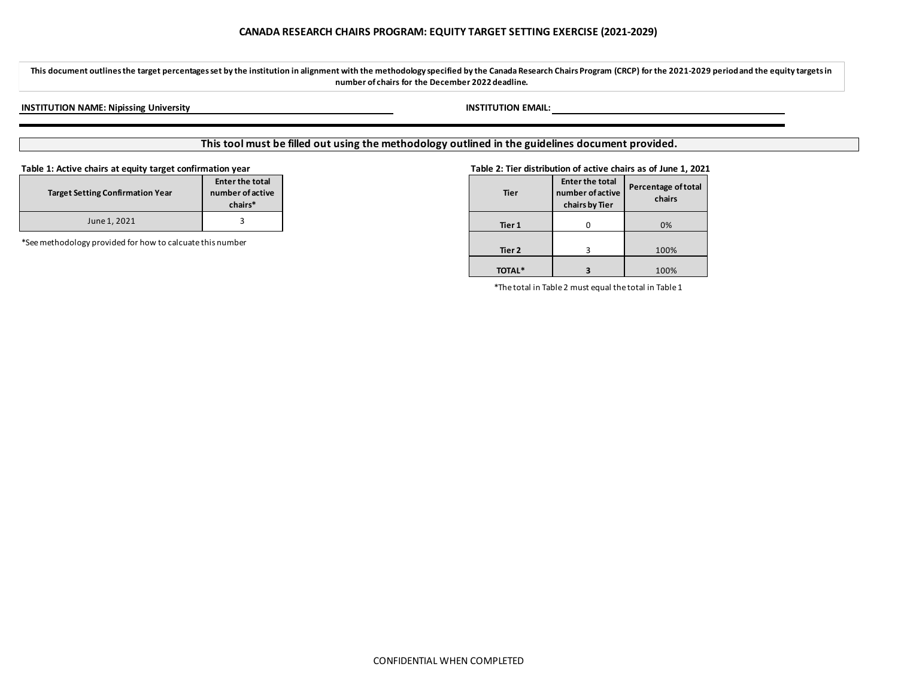**This document outlines the target percentagesset by the institution in alignment with the methodology specified by the Canada Research Chairs Program (CRCP) for the 2021-2029 periodand the equity targets in number of chairs for the December 2022 deadline.**

# **INSTITUTION NAME: Nipissing University INSTITUTION EMAIL:**

# **This tool must be filled out using the methodology outlined in the guidelines document provided.**

| <b>Target Setting Confirmation Year</b> | <b>Enter the total</b><br>number of active<br>chairs* |
|-----------------------------------------|-------------------------------------------------------|
| June 1, 2021                            |                                                       |

\*See methodology provided for how to calcuate this number

## **Table 1: Active chairs at equity target confirmation year Table 2: Tier distribution of active chairs as of June 1, 2021**

| Enter the total<br>number of active<br>ting Confirmation Year<br>chairs* |
|--------------------------------------------------------------------------|
|                                                                          |
| y provided for how to calcuate this number                               |
|                                                                          |

\*The total in Table 2 must equal the total in Table 1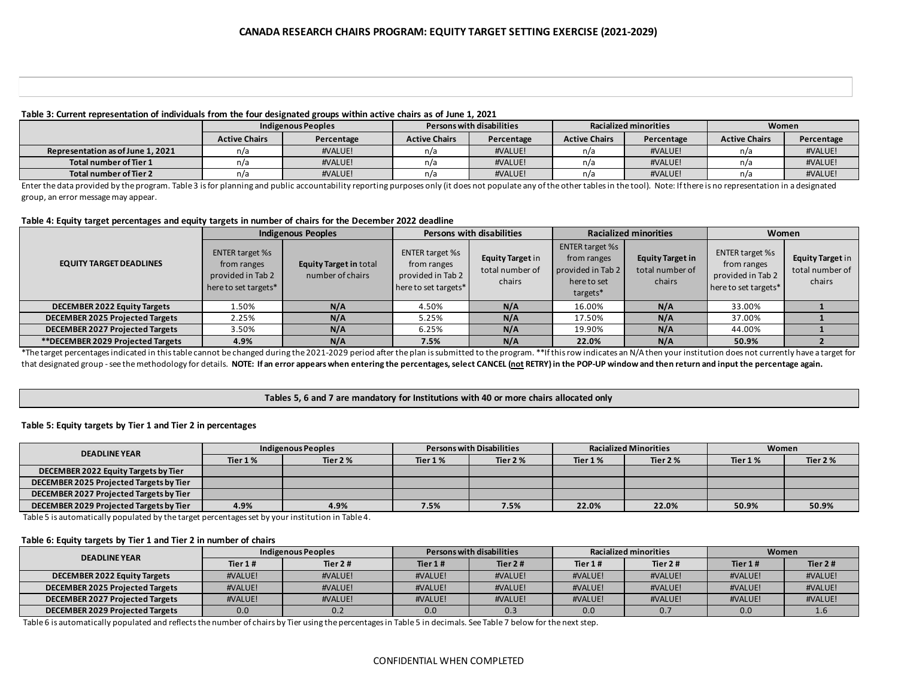# **Table 3: Current representation of individuals from the four designated groups within active chairs as of June 1, 2021**

|                                   | Indigenous Peoples   |            | Persons with disabilities |            | <b>Racialized minorities</b> |            | Women                |            |
|-----------------------------------|----------------------|------------|---------------------------|------------|------------------------------|------------|----------------------|------------|
|                                   | <b>Active Chairs</b> | Percentage | <b>Active Chairs</b>      | Percentage | <b>Active Chairs</b>         | Percentage | <b>Active Chairs</b> | Percentage |
| Representation as of June 1, 2021 | n/a                  | #VALUE!    | n/a                       | #VALUE!    | n/a                          | #VALUE!    | n/a                  | #VALUE!    |
| Total number of Tier 1            | n/a                  | #VALUE!    | n/a                       | #VALUE!    | n/a                          | #VALUE!    | n/a                  | #VALUE!    |
| Total number of Tier 2            | n/a                  | #VALUE!    | n/a                       | #VALUE!    | n/a                          | #VALUE!    | n/a                  | #VALUE!    |

Enter the data provided by the program. Table 3 is for planning and public accountability reporting purposes only (it does not populate any of the other tables in the tool). Note: If there is no representation in a designa group, an error message may appear.

### **Table 4: Equity target percentages and equity targets in number of chairs for the December 2022 deadline**

|                                        | <b>Indigenous Peoples</b>                                                          |                                                   | <b>Persons with disabilities</b>                                                   |                                               | <b>Racialized minorities</b>                                                          |                                                      | Women                                                                              |                                               |
|----------------------------------------|------------------------------------------------------------------------------------|---------------------------------------------------|------------------------------------------------------------------------------------|-----------------------------------------------|---------------------------------------------------------------------------------------|------------------------------------------------------|------------------------------------------------------------------------------------|-----------------------------------------------|
| <b>EQUITY TARGET DEADLINES</b>         | <b>ENTER target %s</b><br>from ranges<br>provided in Tab 2<br>here to set targets* | <b>Equity Target in total</b><br>number of chairs | <b>ENTER target %s</b><br>from ranges<br>provided in Tab 2<br>here to set targets* | Equity Target in<br>total number of<br>chairs | <b>ENTER target %s</b><br>from ranges<br>provided in Tab 2<br>here to set<br>targets* | <b>Equity Target in</b><br>total number of<br>chairs | <b>ENTER target %s</b><br>from ranges<br>provided in Tab 2<br>here to set targets* | Equity Target in<br>total number of<br>chairs |
| <b>DECEMBER 2022 Equity Targets</b>    | 1.50%                                                                              | N/A                                               | 4.50%                                                                              | N/A                                           | 16.00%                                                                                | N/A                                                  | 33.00%                                                                             |                                               |
| <b>DECEMBER 2025 Projected Targets</b> | 2.25%                                                                              | N/A                                               | 5.25%                                                                              | N/A                                           | 17.50%                                                                                | N/A                                                  | 37.00%                                                                             |                                               |
| <b>DECEMBER 2027 Projected Targets</b> | 3.50%                                                                              | N/A                                               | 6.25%                                                                              | N/A                                           | 19.90%                                                                                | N/A                                                  | 44.00%                                                                             |                                               |
| **DECEMBER 2029 Projected Targets      | 4.9%                                                                               | N/A                                               | 7.5%                                                                               | N/A                                           | 22.0%                                                                                 | N/A                                                  | 50.9%                                                                              |                                               |

\*The target percentages indicated in this table cannot be changed during the 2021-2029 period after the plan is submitted to the program. \*\*If this row indicates an N/A then your institution does not currently have a targe that designated group - see the methodology for details. **NOTE: If an error appears when entering the percentages, select CANCEL (not RETRY) in the POP-UP window and then return and input the percentage again.**

# **Tables 5, 6 and 7 are mandatory for Institutions with 40 or more chairs allocated only**

# **Table 5: Equity targets by Tier 1 and Tier 2 in percentages**

| <b>DEADLINE YEAR</b>                    | Indigenous Peoples |          | <b>Persons with Disabilities</b> |          | <b>Racialized Minorities</b> |          | Women    |          |
|-----------------------------------------|--------------------|----------|----------------------------------|----------|------------------------------|----------|----------|----------|
|                                         | Tier 1 %           | Tier 2 % | Tier 1%                          | Tier 2 % | Tier 1 %                     | Tier 2 % | Tier 1 % | Tier 2 % |
| DECEMBER 2022 Equity Targets by Tier    |                    |          |                                  |          |                              |          |          |          |
| DECEMBER 2025 Projected Targets by Tier |                    |          |                                  |          |                              |          |          |          |
| DECEMBER 2027 Projected Targets by Tier |                    |          |                                  |          |                              |          |          |          |
| DECEMBER 2029 Projected Targets by Tier | 4.9%               | 4.9%     | 7.5%                             | 7.5%     | 22.0%                        | 22.0%    | 50.9%    | 50.9%    |

Table 5 is automatically populated by the target percentages set by your institution in Table 4.

#### **Table 6: Equity targets by Tier 1 and Tier 2 in number of chairs**

| <b>DEADLINE YEAR</b>                   | Indigenous Peoples |           | Persons with disabilities |           | Racialized minorities |           | Women   |         |
|----------------------------------------|--------------------|-----------|---------------------------|-----------|-----------------------|-----------|---------|---------|
|                                        | Tier $1#$          | Tier $2#$ | Tier $1#$                 | Tier $2#$ | Tier 1#               | Tier $2#$ | Tier 1# | Tier 2# |
| <b>DECEMBER 2022 Equity Targets</b>    | #VALUE!            | #VALUE!   | #VALUE!                   | #VALUE!   | #VALUE!               | #VALUE!   | #VALUE! | #VALUE! |
| <b>DECEMBER 2025 Projected Targets</b> | #VALUE!            | #VALUE!   | #VALUE!                   | #VALUE!   | #VALUE!               | #VALUE!   | #VALUE! | #VALUE! |
| DECEMBER 2027 Projected Targets        | #VALUE!            | #VALUE!   | #VALUE!                   | #VALUE!   | #VALUE!               | #VALUE!   | #VALUE! | #VALUE! |
| DECEMBER 2029 Projected Targets        | 0.0                | 0.2       | 0.0                       | 0.3       | 0.0                   |           | 0.0     | 1.6     |

Table 6 is automatically populated and reflects the number of chairs by Tier using the percentages in Table 5 in decimals. See Table 7 below for the next step.

### CONFIDENTIAL WHEN COMPLETED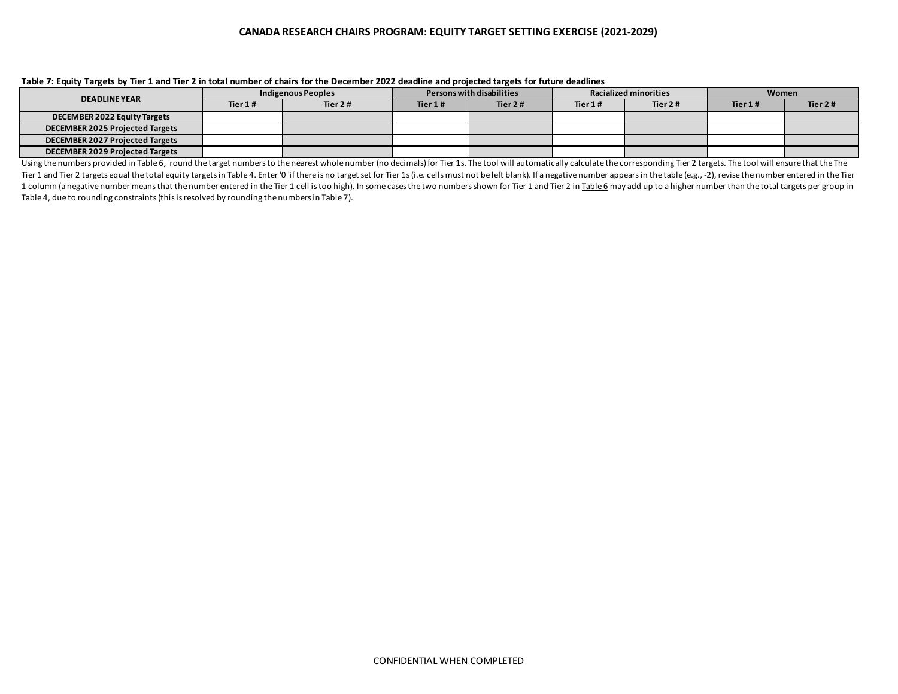# **CANADA RESEARCH CHAIRS PROGRAM: EQUITY TARGET SETTING EXERCISE (2021-2029)**

| <b>DEADLINE YEAR</b>                   | Indigenous Peoples |         | Persons with disabilities |            | <b>Racialized minorities</b> |           | Women   |         |
|----------------------------------------|--------------------|---------|---------------------------|------------|------------------------------|-----------|---------|---------|
|                                        | Tier $1#$          | Tier 2# | Tier 1#                   | Tier 2 $#$ | Tier 1#                      | Tier $2#$ | Tier 1# | Tier 2# |
| <b>DECEMBER 2022 Equity Targets</b>    |                    |         |                           |            |                              |           |         |         |
| <b>DECEMBER 2025 Projected Targets</b> |                    |         |                           |            |                              |           |         |         |
| <b>DECEMBER 2027 Projected Targets</b> |                    |         |                           |            |                              |           |         |         |
| <b>DECEMBER 2029 Projected Targets</b> |                    |         |                           |            |                              |           |         |         |

### **Table 7: Equity Targets by Tier 1 and Tier 2 in total number of chairs for the December 2022 deadline and projected targets for future deadlines**

Using the numbers provided in Table 6, round the target numbers to the nearest whole number (no decimals) for Tier 1s. The tool will automatically calculate the corresponding Tier 2 targets. The tool will ensure that the T Tier 1 and Tier 2 targets equal the total equity targets in Table 4. Enter '0 'if there is no target set for Tier 1s (i.e. cells must not be left blank). If a negative number appears in the table (e.g., -2), revise the num 1 column (a negative number means that the number entered in the Tier 1 cell is too high). In some cases the two numbers shown for Tier 1 and Tier 2 in Table 6 may add up to a higher number than the total targets per group Table 4, due to rounding constraints (this is resolved by rounding the numbers in Table 7).